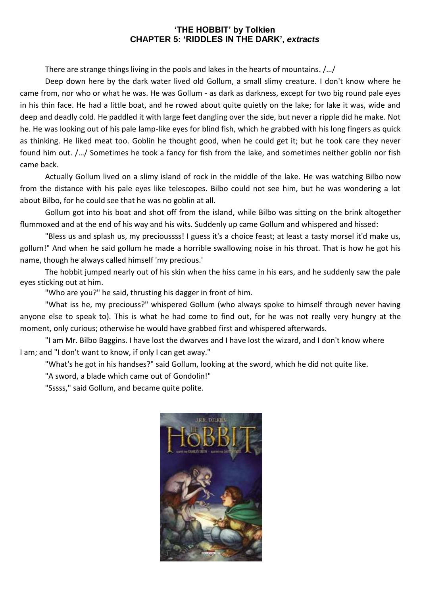## **'THE HOBBIT' by Tolkien CHAPTER 5: 'RIDDLES IN THE DARK',** *extracts*

There are strange things living in the pools and lakes in the hearts of mountains. /…/

[Deep down here by the dark water lived old Gollum, a small slimy creature.](https://genius.com/J-r-r-tolkien-the-hobbit-chapter-5-riddles-in-the-dark-annotated#note-14812096) I don't know where he came from, nor who or what he was. He was Gollum - as dark as darkness, except for two big round pale eyes in his thin face. He had a little boat, and he rowed about quite quietly on the lake; for lake it was, wide and deep and deadly cold. [He paddled it with large feet dangling over the side, but never a ripple did he make. Not](https://genius.com/J-r-r-tolkien-the-hobbit-chapter-5-riddles-in-the-dark-annotated#note-12975167)  [he. He was looking out of his pale lamp-like eyes for blind fish, which he grabbed with his long fingers as quick](https://genius.com/J-r-r-tolkien-the-hobbit-chapter-5-riddles-in-the-dark-annotated#note-12975167)  [as thinking. He liked meat too.](https://genius.com/J-r-r-tolkien-the-hobbit-chapter-5-riddles-in-the-dark-annotated#note-12975167) Goblin he thought good, when he could get it; but he took care they never found him out. /…/ Sometimes he took a fancy for fish from the lake, and sometimes neither goblin nor fish came back.

Actually [Gollum lived on a slimy island of rock in the middle of the lake.](https://genius.com/J-r-r-tolkien-the-hobbit-chapter-5-riddles-in-the-dark-annotated#note-16326395) He was watching Bilbo now from the distance with his pale eyes like telescopes. Bilbo could not see him, but he was wondering a lot about Bilbo, for he could see that he was no goblin at all.

Gollum got into his boat and shot off from the island, while Bilbo was sitting on the brink altogether flummoxed and at the end of his way and his wits. Suddenly up came Gollum and whispered and hissed:

"Bless us and splash us, my precioussss! I guess it's a choice feast; at least a tasty morsel it'd make us, gollum!" And when he said gollum he made a horrible swallowing noise in his throat. That is how he got his name, though he always called himself 'my precious.'

The hobbit jumped nearly out of his skin when the hiss came in his ears, and he suddenly saw the pale eyes sticking out at him.

"Who are you?" he said, thrusting his dagger in front of him.

"What iss he, my preciouss?" whispered Gollum (who always spoke to himself through never having anyone else to speak to). This is what he had come to find out, for he was not really very hungry at the moment, only curious; otherwise he would have grabbed first and whispered afterwards.

"I am Mr. Bilbo Baggins. I have lost the dwarves and I have lost the wizard, and I don't know where I am; and "I don't want to know, if only I can get away."

"What's he got in his handses?" said Gollum, looking at the sword, which he did not quite like.

"A sword, a blade which came out of Gondolin!"

"Sssss," said Gollum, and became quite polite.